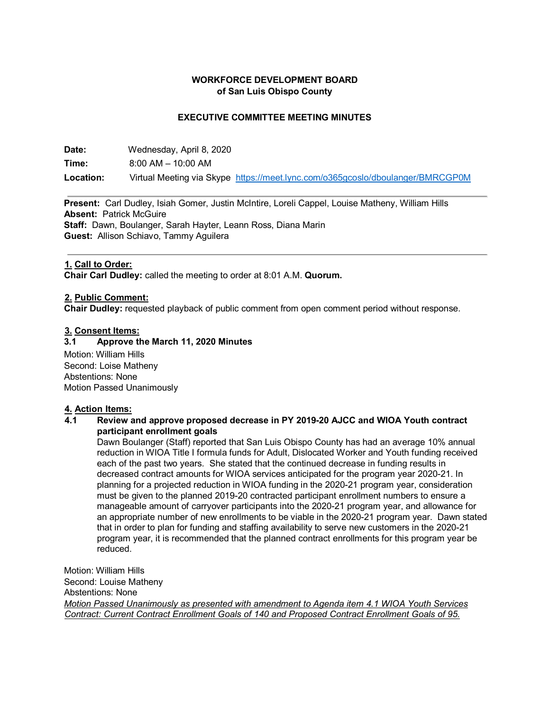### **WORKFORCE DEVELOPMENT BOARD of San Luis Obispo County**

### **EXECUTIVE COMMITTEE MEETING MINUTES**

| Date:     | Wednesday, April 8, 2020                                                       |  |
|-----------|--------------------------------------------------------------------------------|--|
| Time:     | $8:00$ AM $-$ 10:00 AM                                                         |  |
| Location: | Virtual Meeting via Skype https://meet.lync.com/o365gcoslo/dboulanger/BMRCGP0M |  |

**Present:** Carl Dudley, Isiah Gomer, Justin McIntire, Loreli Cappel, Louise Matheny, William Hills **Absent:** Patrick McGuire **Staff:** Dawn, Boulanger, Sarah Hayter, Leann Ross, Diana Marin **Guest:** Allison Schiavo, Tammy Aguilera

### **1. Call to Order:**

**Chair Carl Dudley:** called the meeting to order at 8:01 A.M. **Quorum.**

### **2. Public Comment:**

**Chair Dudley:** requested playback of public comment from open comment period without response.

#### **3. Consent Items:**

### **3.1 Approve the March 11, 2020 Minutes**

Motion: William Hills Second: Loise Matheny Abstentions: None Motion Passed Unanimously

#### **4. Action Items:**

### **4.1 Review and approve proposed decrease in PY 2019-20 AJCC and WIOA Youth contract participant enrollment goals**

Dawn Boulanger (Staff) reported that San Luis Obispo County has had an average 10% annual reduction in WIOA Title I formula funds for Adult, Dislocated Worker and Youth funding received each of the past two years. She stated that the continued decrease in funding results in decreased contract amounts for WIOA services anticipated for the program year 2020-21. In planning for a projected reduction in WIOA funding in the 2020-21 program year, consideration must be given to the planned 2019-20 contracted participant enrollment numbers to ensure a manageable amount of carryover participants into the 2020-21 program year, and allowance for an appropriate number of new enrollments to be viable in the 2020-21 program year. Dawn stated that in order to plan for funding and staffing availability to serve new customers in the 2020-21 program year, it is recommended that the planned contract enrollments for this program year be reduced.

Motion: William Hills Second: Louise Matheny Abstentions: None *Motion Passed Unanimously as presented with amendment to Agenda item 4.1 WIOA Youth Services Contract: Current Contract Enrollment Goals of 140 and Proposed Contract Enrollment Goals of 95.*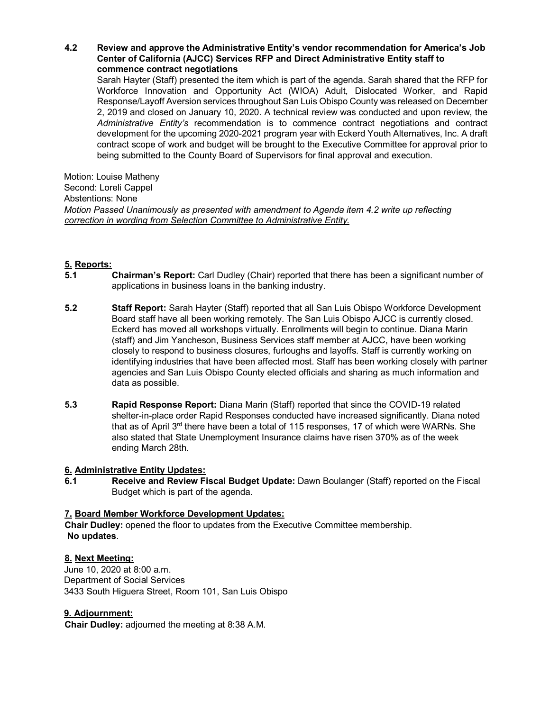### **4.2 Review and approve the Administrative Entity's vendor recommendation for America's Job Center of California (AJCC) Services RFP and Direct Administrative Entity staff to commence contract negotiations**

Sarah Hayter (Staff) presented the item which is part of the agenda. Sarah shared that the RFP for Workforce Innovation and Opportunity Act (WIOA) Adult, Dislocated Worker, and Rapid Response/Layoff Aversion services throughout San Luis Obispo County was released on December 2, 2019 and closed on January 10, 2020. A technical review was conducted and upon review, the *Administrative Entity's* recommendation is to commence contract negotiations and contract development for the upcoming 2020-2021 program year with Eckerd Youth Alternatives, Inc. A draft contract scope of work and budget will be brought to the Executive Committee for approval prior to being submitted to the County Board of Supervisors for final approval and execution.

Motion: Louise Matheny Second: Loreli Cappel Abstentions: None *Motion Passed Unanimously as presented with amendment to Agenda item 4.2 write up reflecting correction in wording from Selection Committee to Administrative Entity.*

# **5. Reports:**

- **5.1 Chairman's Report:** Carl Dudley (Chair) reported that there has been a significant number of applications in business loans in the banking industry.
- **5.2 Staff Report:** Sarah Hayter (Staff) reported that all San Luis Obispo Workforce Development Board staff have all been working remotely. The San Luis Obispo AJCC is currently closed. Eckerd has moved all workshops virtually. Enrollments will begin to continue. Diana Marin (staff) and Jim Yancheson, Business Services staff member at AJCC, have been working closely to respond to business closures, furloughs and layoffs. Staff is currently working on identifying industries that have been affected most. Staff has been working closely with partner agencies and San Luis Obispo County elected officials and sharing as much information and data as possible.
- **5.3 Rapid Response Report:** Diana Marin (Staff) reported that since the COVID-19 related shelter-in-place order Rapid Responses conducted have increased significantly. Diana noted that as of April 3<sup>rd</sup> there have been a total of 115 responses, 17 of which were WARNs. She also stated that State Unemployment Insurance claims have risen 370% as of the week ending March 28th.

## **6. Administrative Entity Updates:**

**6.1 Receive and Review Fiscal Budget Update:** Dawn Boulanger (Staff) reported on the Fiscal Budget which is part of the agenda.

## **7. Board Member Workforce Development Updates:**

**Chair Dudley:** opened the floor to updates from the Executive Committee membership. **No updates**.

## **8. Next Meeting:**

June 10, 2020 at 8:00 a.m. Department of Social Services 3433 South Higuera Street, Room 101, San Luis Obispo

## **9. Adjournment:**

**Chair Dudley:** adjourned the meeting at 8:38 A.M.